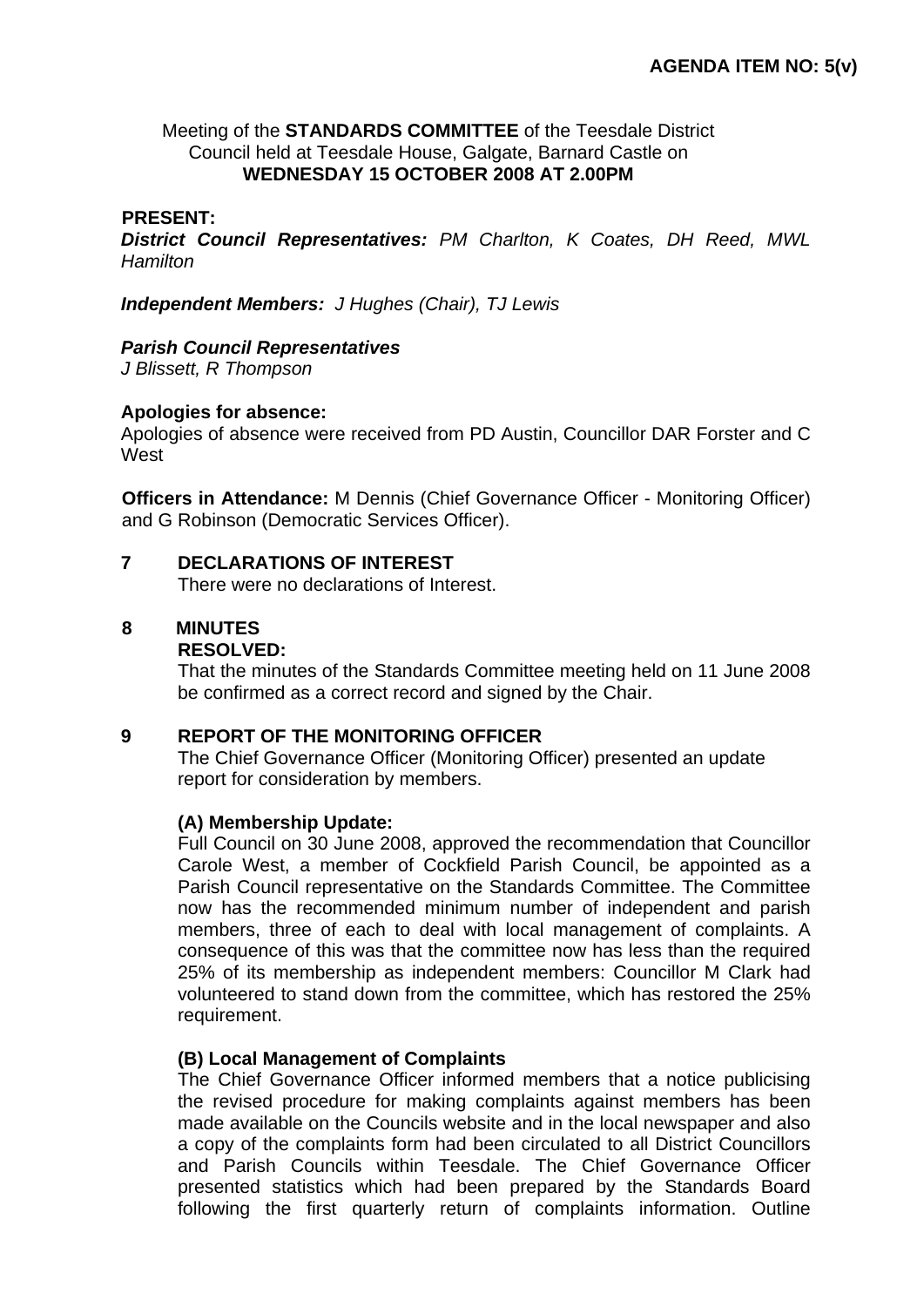# Meeting of the **STANDARDS COMMITTEE** of the Teesdale District Council held at Teesdale House, Galgate, Barnard Castle on **WEDNESDAY 15 OCTOBER 2008 AT 2.00PM**

## **PRESENT:**

*District Council Representatives: PM Charlton, K Coates, DH Reed, MWL Hamilton* 

*Independent Members: J Hughes (Chair), TJ Lewis* 

## *Parish Council Representatives*

*J Blissett, R Thompson*

## **Apologies for absence:**

Apologies of absence were received from PD Austin, Councillor DAR Forster and C **West** 

**Officers in Attendance:** M Dennis (Chief Governance Officer - Monitoring Officer) and G Robinson (Democratic Services Officer).

## **7 DECLARATIONS OF INTEREST**

There were no declarations of Interest.

# **8 MINUTES**

#### **RESOLVED:**

That the minutes of the Standards Committee meeting held on 11 June 2008 be confirmed as a correct record and signed by the Chair.

#### **9 REPORT OF THE MONITORING OFFICER**

 The Chief Governance Officer (Monitoring Officer) presented an update report for consideration by members.

# **(A) Membership Update:**

Full Council on 30 June 2008, approved the recommendation that Councillor Carole West, a member of Cockfield Parish Council, be appointed as a Parish Council representative on the Standards Committee. The Committee now has the recommended minimum number of independent and parish members, three of each to deal with local management of complaints. A consequence of this was that the committee now has less than the required 25% of its membership as independent members: Councillor M Clark had volunteered to stand down from the committee, which has restored the 25% requirement.

# **(B) Local Management of Complaints**

The Chief Governance Officer informed members that a notice publicising the revised procedure for making complaints against members has been made available on the Councils website and in the local newspaper and also a copy of the complaints form had been circulated to all District Councillors and Parish Councils within Teesdale. The Chief Governance Officer presented statistics which had been prepared by the Standards Board following the first quarterly return of complaints information. Outline